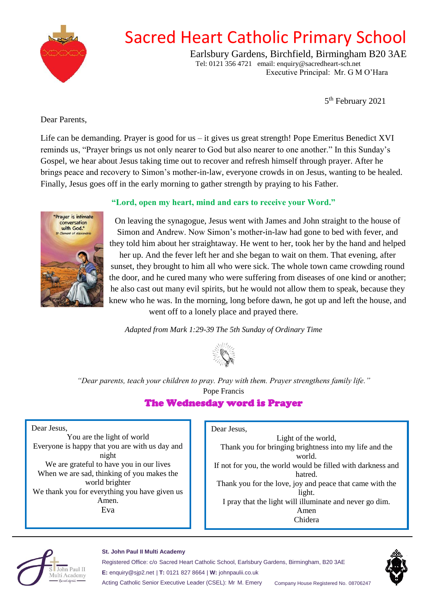

# Sacred Heart Catholic Primary School

Earlsbury Gardens, Birchfield, Birmingham B20 3AE Tel: 0121 356 4721 email: enquiry@sacredheart-sch.net Executive Principal: Mr. G M O'Hara

5<sup>th</sup> February 2021

### <span id="page-0-0"></span>Dear Parents,

Life can be demanding. Prayer is good for us – it gives us great strength! Pope Emeritus Benedict XVI reminds us, "Prayer brings us not only nearer to God but also nearer to one another." In this Sunday's Gospel, we hear about Jesus taking time out to recover and refresh himself through prayer. After he brings peace and recovery to Simon's mother-in-law, everyone crowds in on Jesus, wanting to be healed. Finally, Jesus goes off in the early morning to gather strength by praying to his Father.



#### **"Lord, open my heart, mind and ears to receive your Word."**

On leaving the synagogue, Jesus went with James and John straight to the house of Simon and Andrew. Now Simon's mother-in-law had gone to bed with fever, and they told him about her straightaway. He went to her, took her by the hand and helped her up. And the fever left her and she began to wait on them. That evening, after sunset, they brought to him all who were sick. The whole town came crowding round the door, and he cured many who were suffering from diseases of one kind or another; he also cast out many evil spirits, but he would not allow them to speak, because they knew who he was. In the morning, long before dawn, he got up and left the house, and went off to a lonely place and prayed there.

*Adapted from Mark 1:29-39 The 5th Sunday of Ordinary Time*



*"Dear parents, teach your children to pray. Pray with them. Prayer strengthens family life."*  Pope Francis

## The Wednesday word is Prayer

Dear Jesus,

You are the light of world Everyone is happy that you are with us day and night We are grateful to have you in our lives When we are sad, thinking of you makes the world brighter We thank you for everything you have given us Amen. Eva

I

Dear Jesus,

Light of the world, Thank you for bringing brightness into my life and the world. If not for you, the world would be filled with darkness and hatred. Thank you for the love, joy and peace that came with the light. I pray that the light will illuminate and never go dim. Amen Chidera



#### **St. John Paul II Multi Academy**

Registered Office: c/o Sacred Heart Catholic School, Earlsbury Gardens, Birmingham, B20 3AE **E:** enquiry@sjp2.net | **T:** 0121 827 8664 | **W:** johnpaulii.co.uk

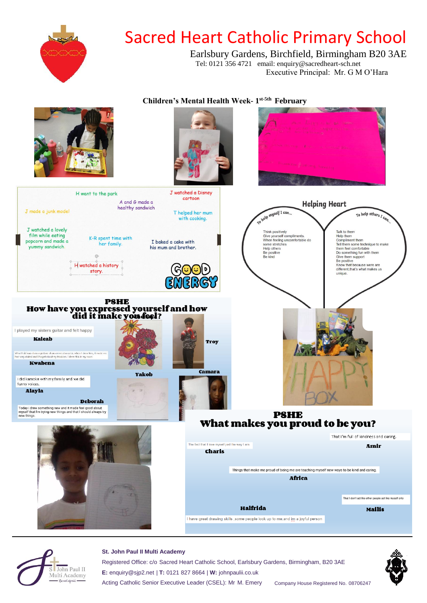



#### **St. John Paul II Multi Academy**

Registered Office: c/o Sacred Heart Catholic School, Earlsbury Gardens, Birmingham, B20 3AE **E:** enquiry@sjp2.net | **T:** 0121 827 8664 | **W:** johnpaulii.co.uk Acting Catholic Senior Executive Leader (CSEL): Mr M. Emery Company House Registered No. 08706247

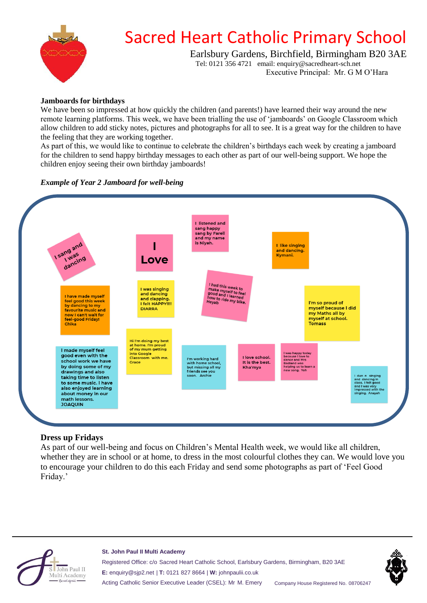

# Sacred Heart Catholic Primary School

Earlsbury Gardens, Birchfield, Birmingham B20 3AE Tel: 0121 356 4721 email: enquiry@sacredheart-sch.net

Executive Principal: Mr. G M O'Hara

#### **Jamboards for birthdays**

We have been so impressed at how quickly the children (and parents!) have learned their way around the new remote learning platforms. This week, we have been trialling the use of 'jamboards' on Google Classroom which allow children to add sticky notes, pictures and photographs for all to see. It is a great way for the children to have the feeling that they are working together.

As part of this, we would like to continue to celebrate the children's birthdays each week by creating a jamboard for the children to send happy birthday messages to each other as part of our well-being support. We hope the children enjoy seeing their own birthday jamboards!

#### *Example of Year 2 Jamboard for well-being*



### **Dress up Fridays**

As part of our well-being and focus on Children's Mental Health week, we would like all children, whether they are in school or at home, to dress in the most colourful clothes they can. We would love you to encourage your children to do this each Friday and send some photographs as part of 'Feel Good Friday.'



#### **St. John Paul II Multi Academy**

Registered Office: c/o Sacred Heart Catholic School, Earlsbury Gardens, Birmingham, B20 3AE **E:** enquiry@sjp2.net | **T:** 0121 827 8664 | **W:** johnpaulii.co.uk Acting Catholic Senior Executive Leader (CSEL): Mr M. Emery Company House Registered No. 08706247